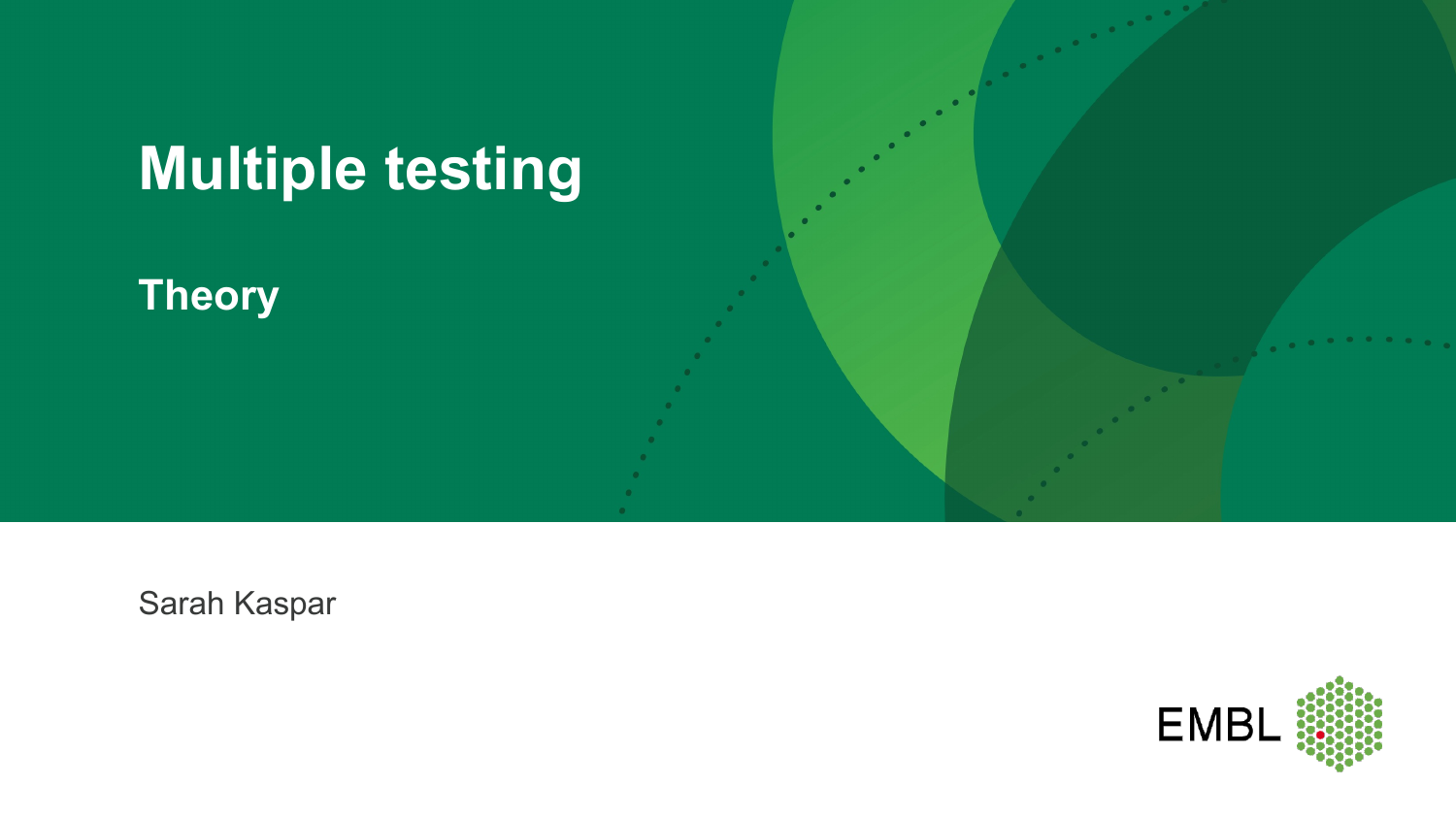

**Theory**

Sarah Kaspar

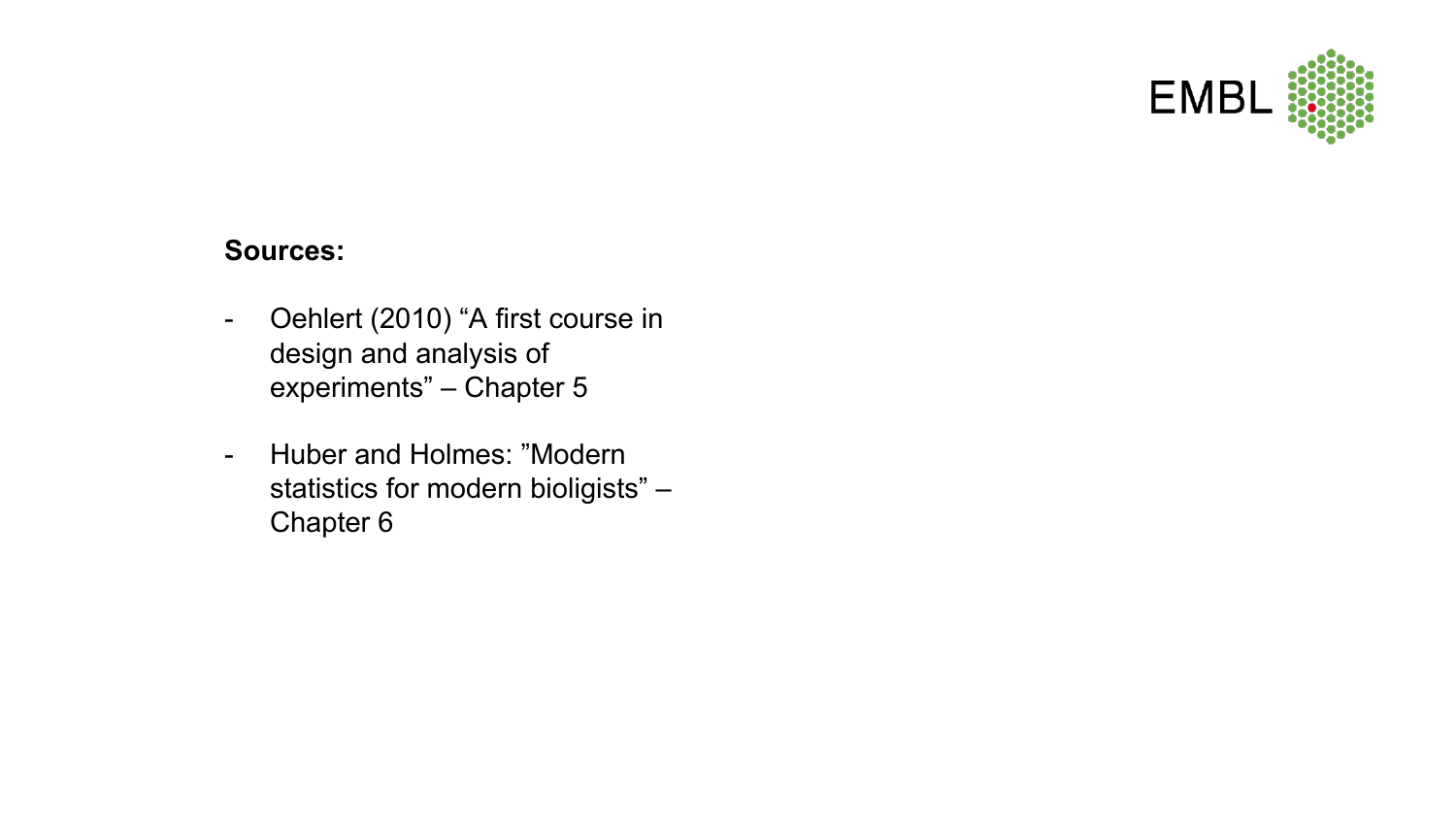

#### **Sources:**

- Oehlert (2010) "A first course in design and analysis of experiments" – Chapter 5
- Huber and Holmes: "Modern statistics for modern bioligists" – Chapter 6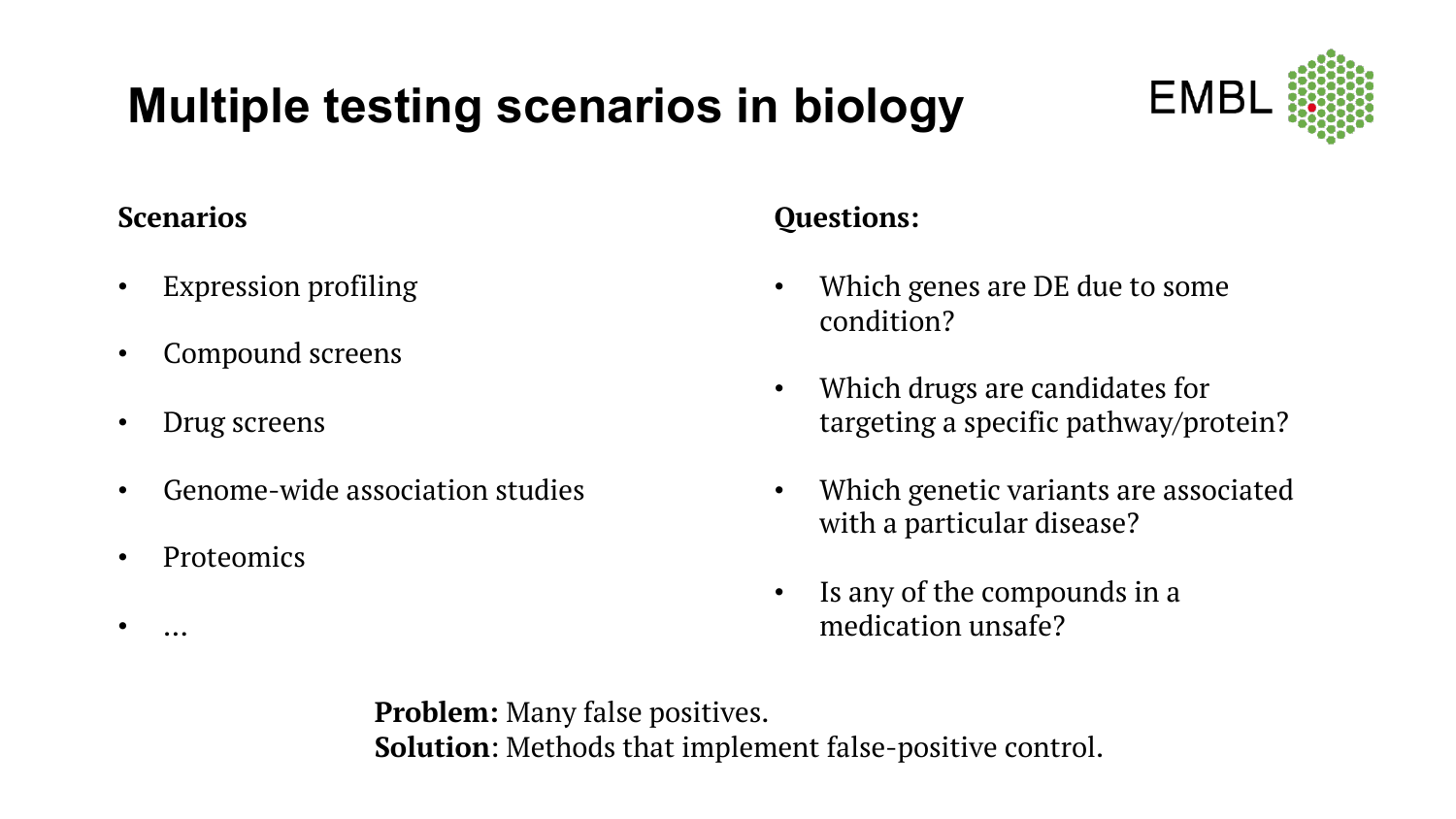#### **Multiple testing scenarios in biology**



#### **Scenarios**

- Expression profiling
- Compound screens
- Drug screens
- Genome-wide association studies
- Proteomics

• …

#### **Questions:**

- Which genes are DE due to some condition?
- Which drugs are candidates for targeting a specific pathway/protein?
- Which genetic variants are associated with a particular disease?
- Is any of the compounds in a medication unsafe?

**Problem:** Many false positives. **Solution**: Methods that implement false-positive control.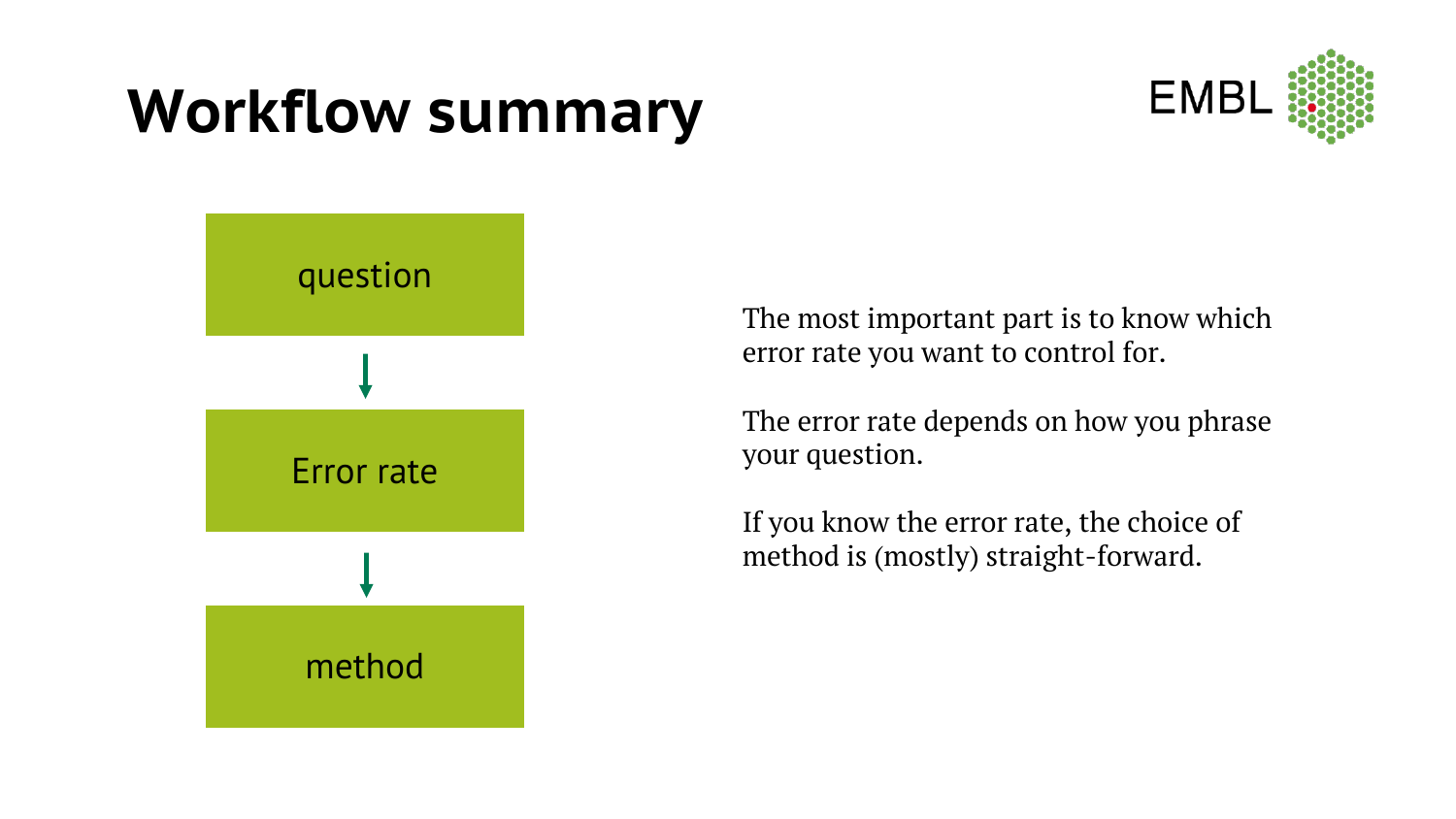### **Workflow summary**





The most important part is to know which error rate you want to control for.

The error rate depends on how you phrase your question.

If you know the error rate, the choice of method is (mostly) straight-forward.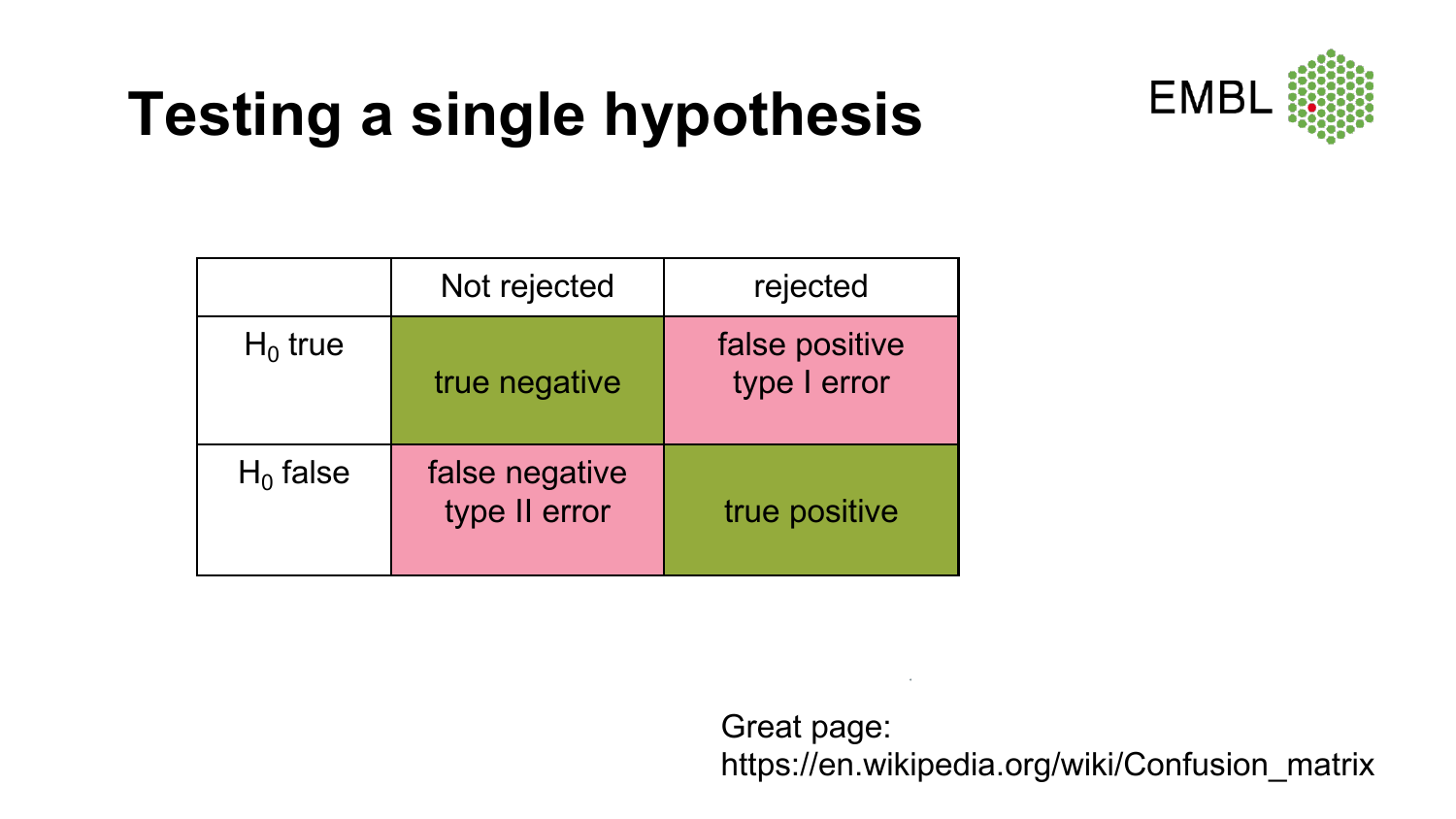# **Testing a single hypothesis**



|             | Not rejected                    | rejected                       |
|-------------|---------------------------------|--------------------------------|
| $H_0$ true  | true negative                   | false positive<br>type I error |
| $H_0$ false | false negative<br>type II error | true positive                  |

Great page: https://en.wikipedia.org/wiki/Confusion\_matrix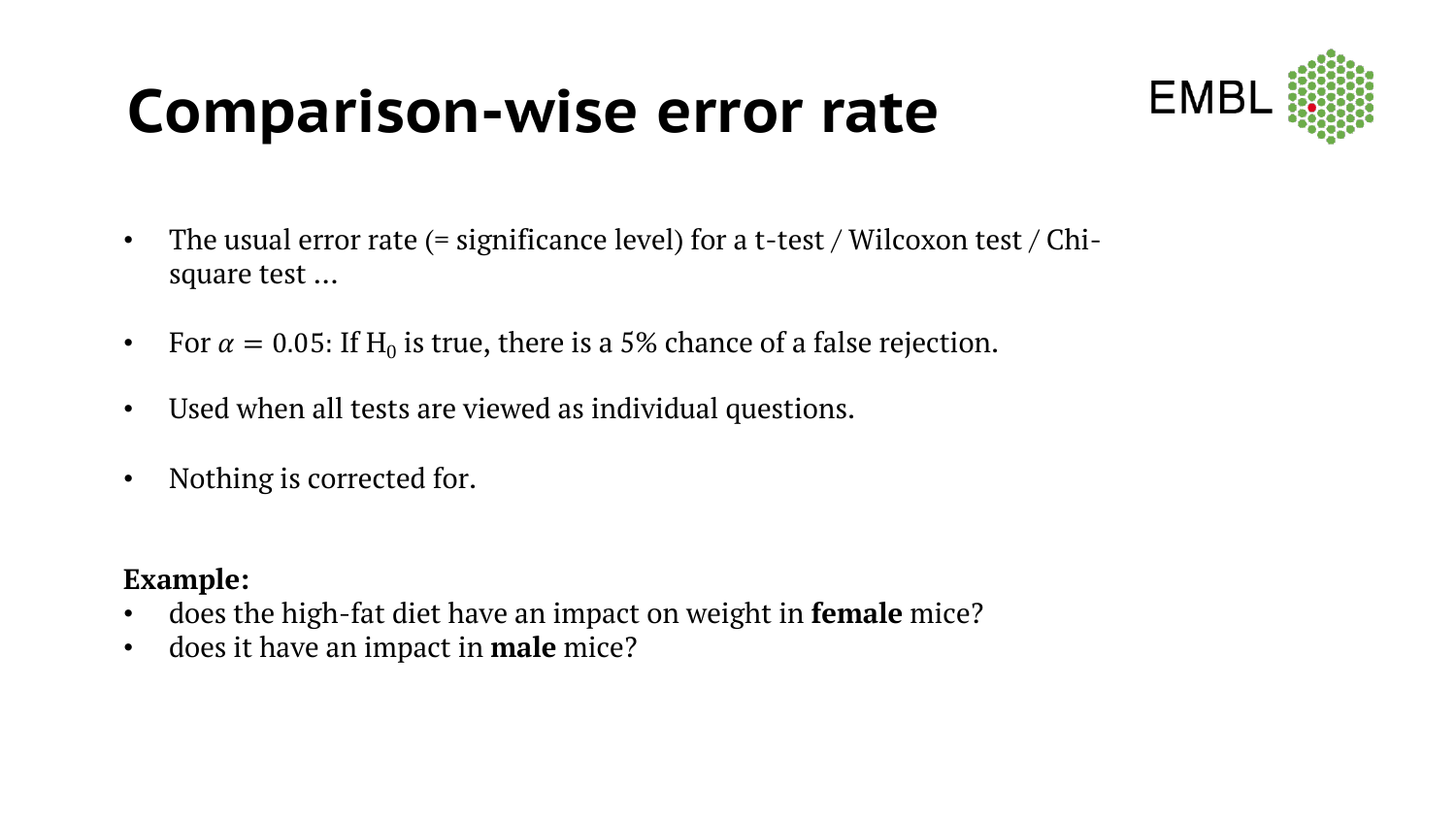### **Comparison-wise error rate**



- The usual error rate (= significance level) for a t-test / Wilcoxon test / Chisquare test …
- For  $\alpha = 0.05$ : If H<sub>0</sub> is true, there is a 5% chance of a false rejection.
- Used when all tests are viewed as individual questions.
- Nothing is corrected for.

#### **Example:**

- does the high-fat diet have an impact on weight in **female** mice?
- does it have an impact in **male** mice?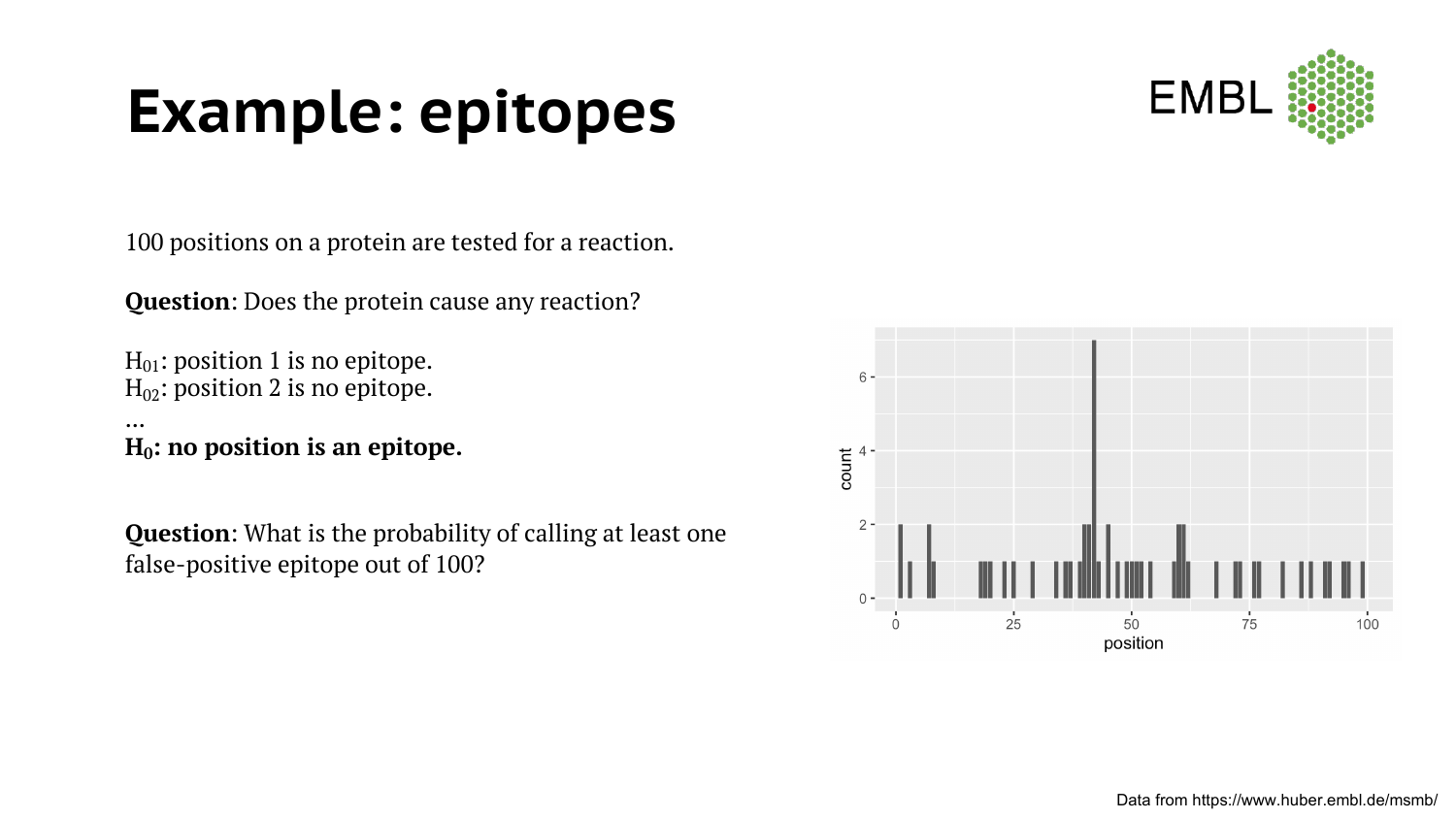### **Example: epitopes**



100 positions on a protein are tested for a reaction.

**Question**: Does the protein cause any reaction?

 $H_{01}$ : position 1 is no epitope.  $H_{02}$ : position 2 is no epitope.

...  $H_0$ : no position is an epitope.

**Question**: What is the probability of calling at least one false-positive epitope out of 100?

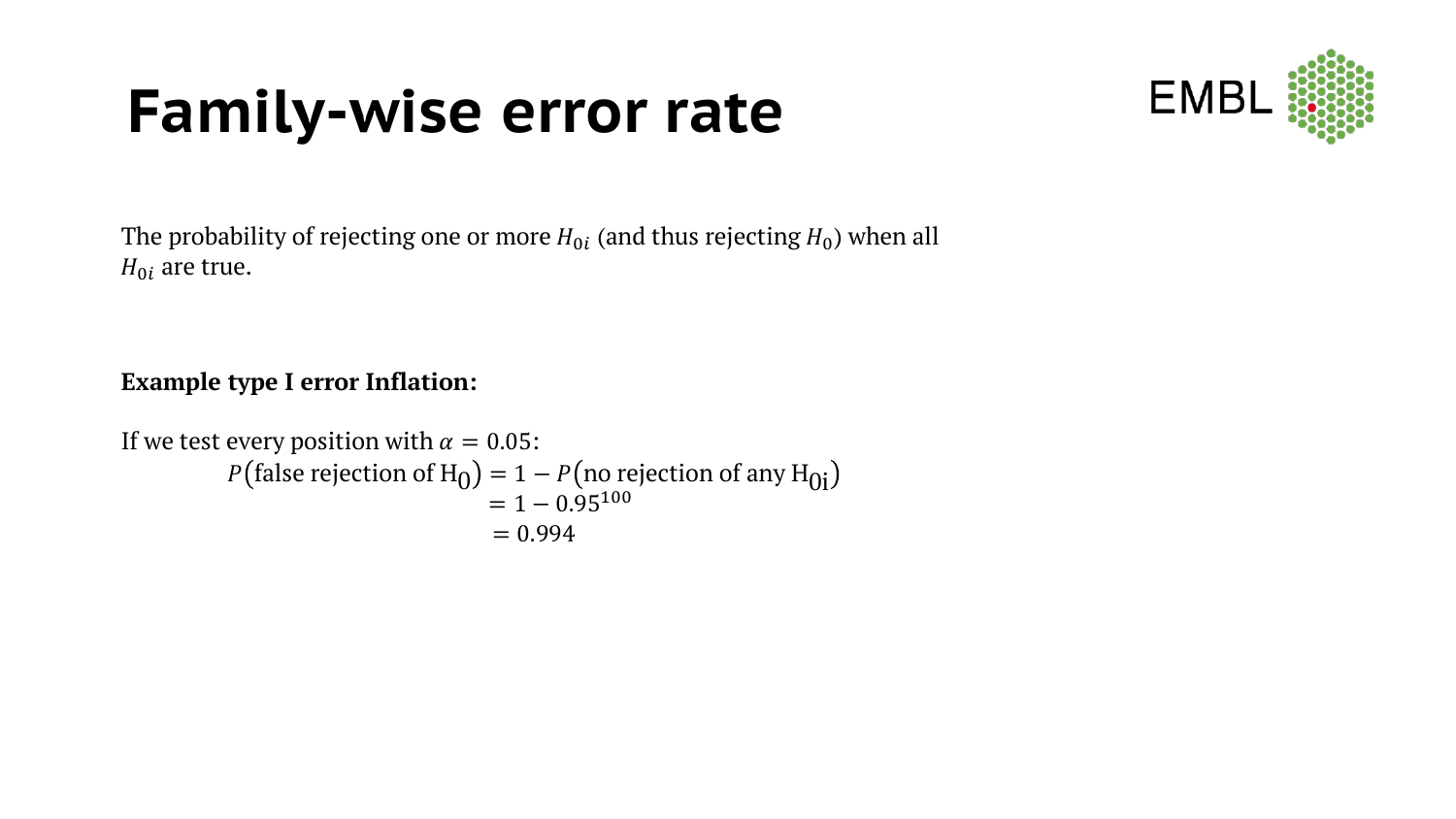### **Family-wise error rate**



The probability of rejecting one or more  $H_{0i}$  (and thus rejecting  $H_0$ ) when all  $H_{0i}$  are true.

#### **Example type I error Inflation:**

```
If we test every position with \alpha = 0.05:
              P(\text{false rejection of H}_0) = 1 - P(\text{no rejection of any H}_{0i})<br>= 1 - 0.95<sup>100</sup>
                                                  = 0.994
```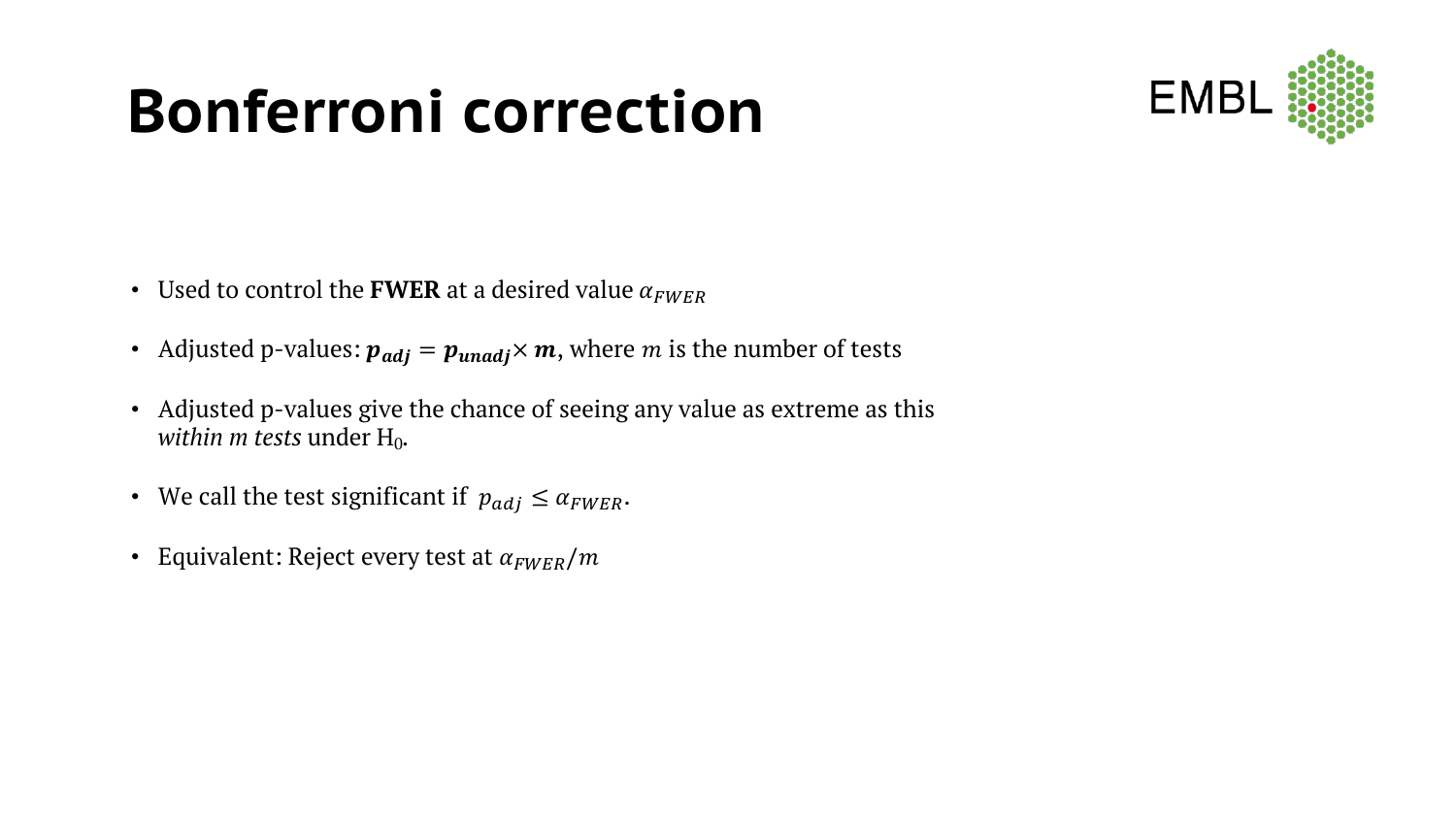### **Bonferroni correction**



- Used to control the **FWER** at a desired value  $\alpha_{FWER}$
- Adjusted p-values:  $p_{adj} = p_{unadj} \times m$ , where *m* is the number of tests
- Adjusted p-values give the chance of seeing any value as extreme as this *within m tests* under H<sub>0</sub>.
- We call the test significant if  $p_{adj} \leq \alpha_{FWER}$ .
- Equivalent: Reject every test at  $\alpha_{FWER}/m$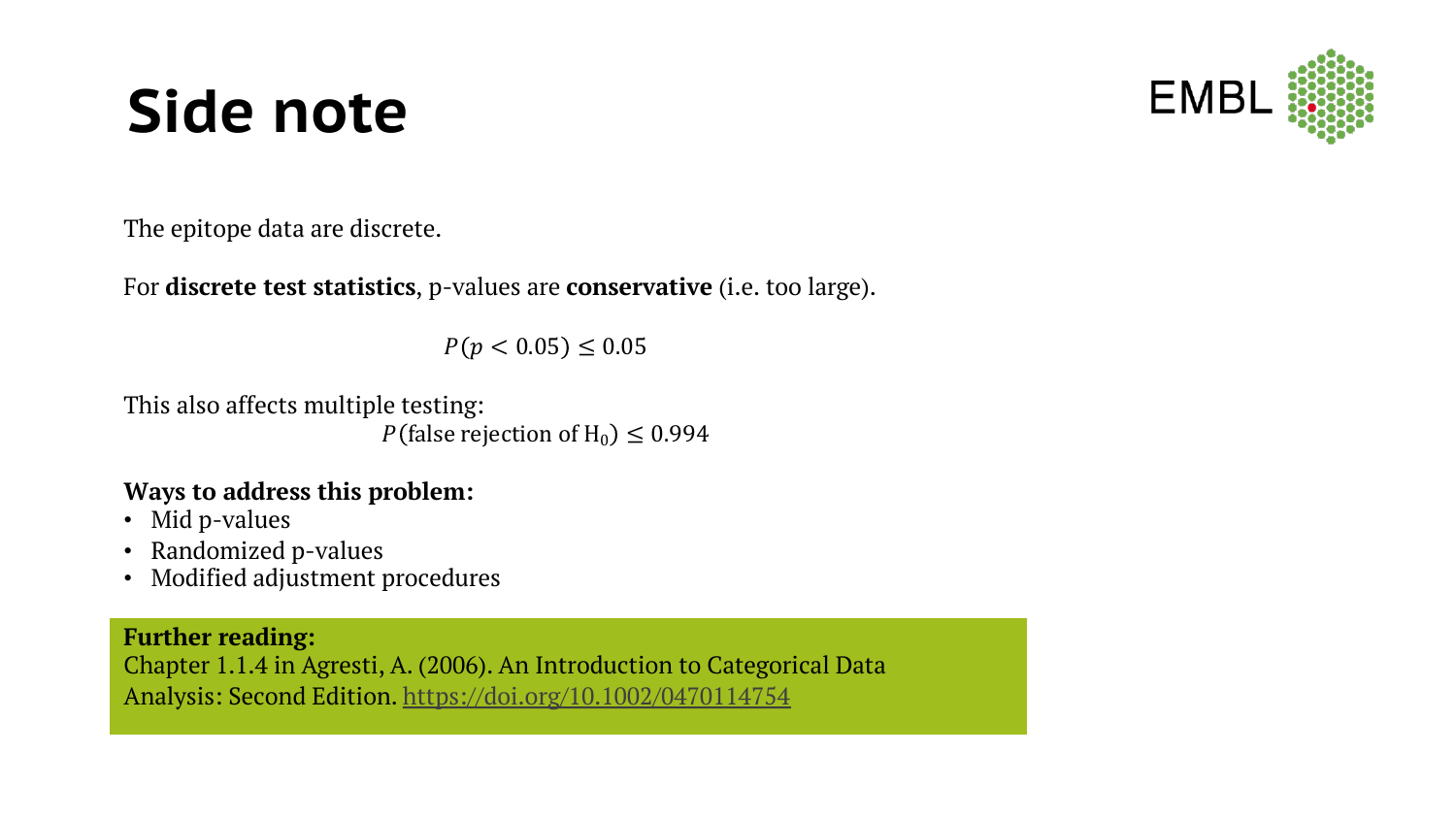#### **EMP**

### **Side note**

The epitope data are discrete.

For **discrete test statistics**, p-values are **conservative** (i.e. too large).

 $P(p < 0.05) \le 0.05$ 

This also affects multiple testing:  $P$ (false rejection of H<sub>0</sub>)  $\leq$  0.994

#### **Ways to address this problem:**

- Mid p-values
- Randomized p-values
- Modified adjustment procedures

#### **Further reading:**

Chapter 1.1.4 in Agresti, A. (2006). An Introduction to Categorical Data Analysis: Second Edition. https://doi.org/10.1002/0470114754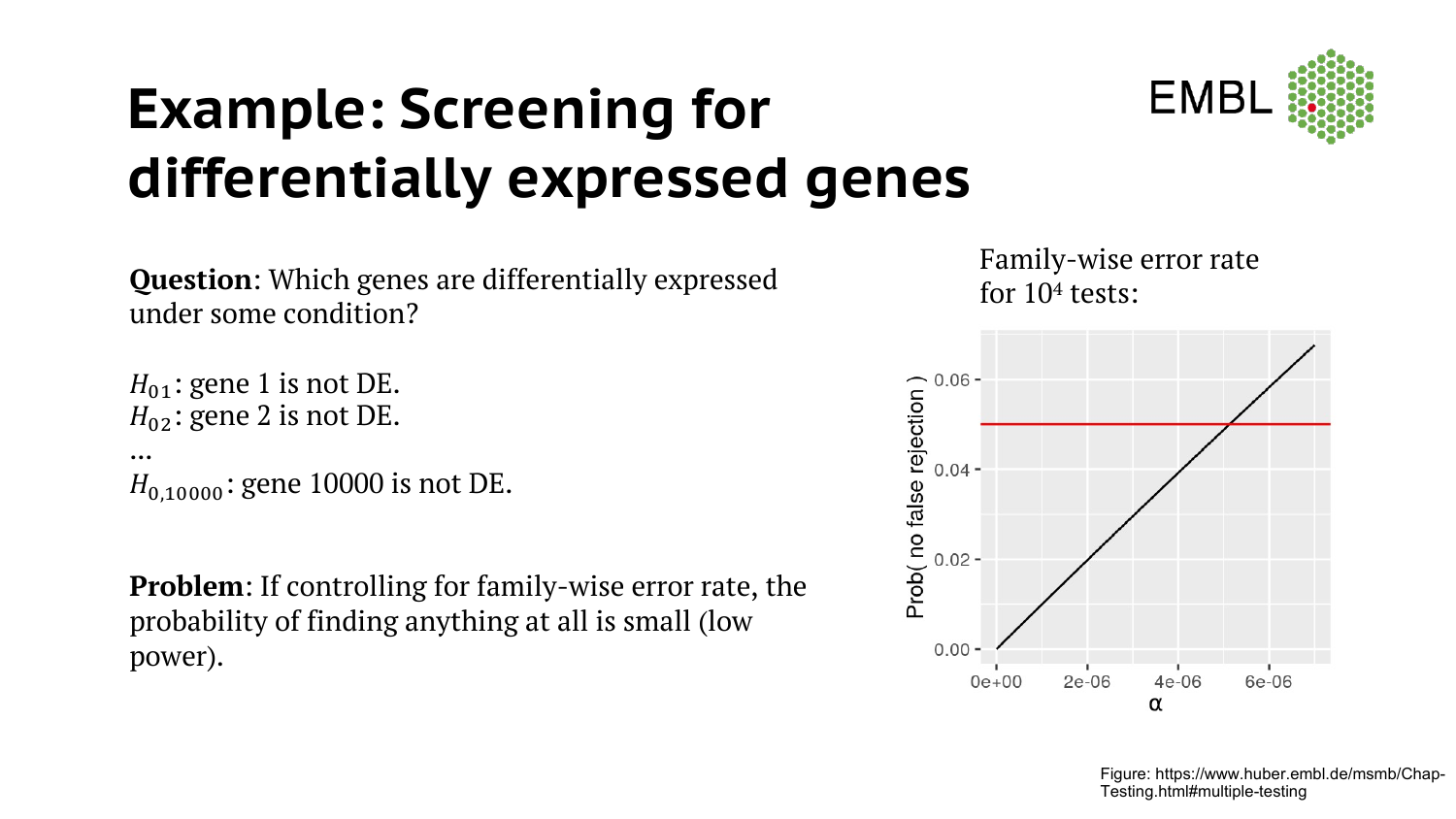### **Example: Screening for differentially expressed genes**



**Question**: Which genes are differentially expressed under some condition?

```
H_{01}: gene 1 is not DE.
H_{02}: gene 2 is not DE.
...
H_{0,10000}: gene 10000 is not DE.
```
**Problem**: If controlling for family-wise error rate, the probability of finding anything at all is small (low power).

Family-wise error rate for 104 tests:



Figure: https://www.huber.embl.de/msmb/Chap-Testing.html#multiple-testing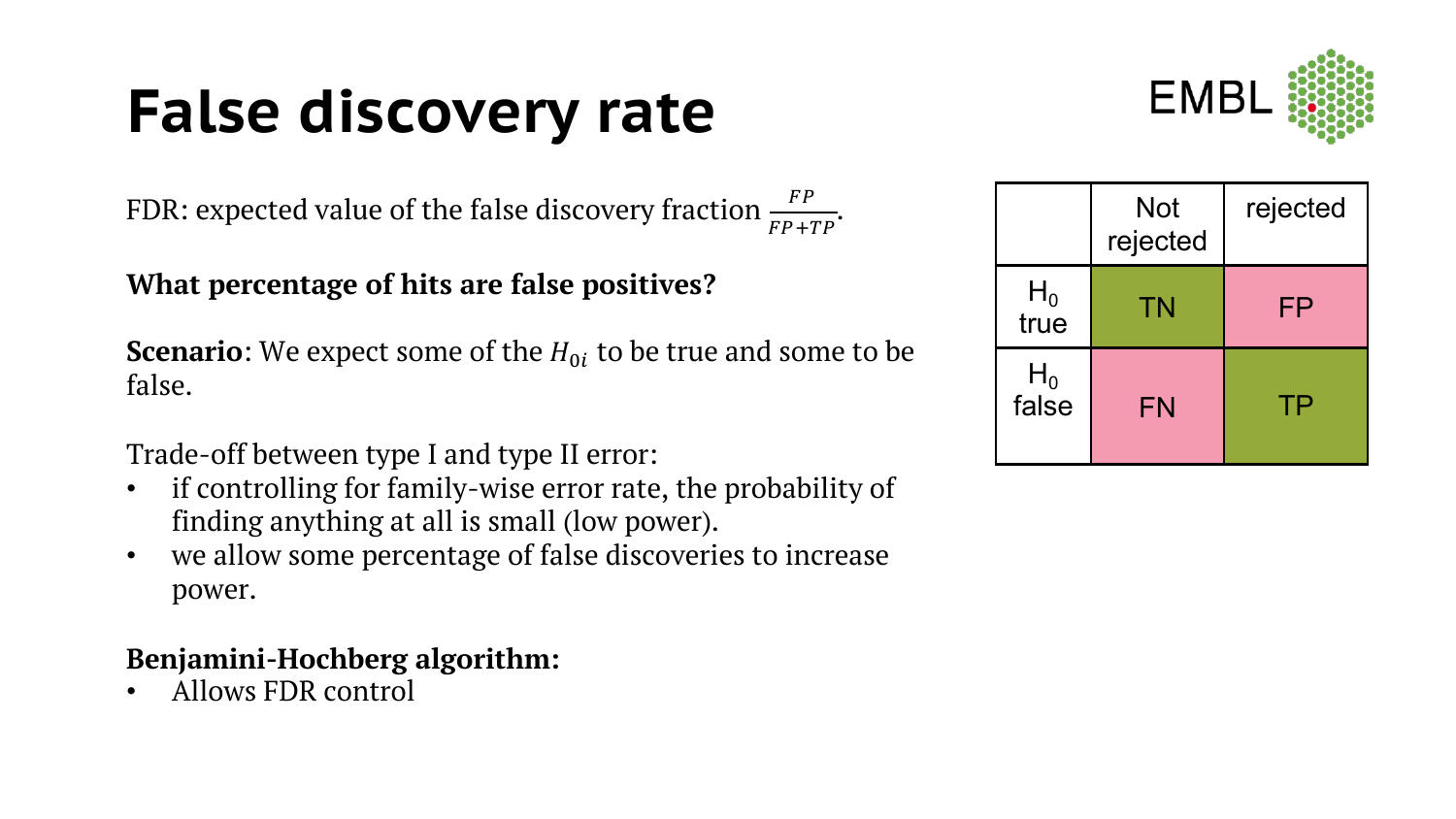# **False discovery rate**

FDR: expected value of the false discovery fraction  $\frac{FP}{FP+TP}$ .

#### **What percentage of hits are false positives?**

**Scenario**: We expect some of the  $H_{0i}$  to be true and some to be false.

Trade-off between type I and type II error:

- if controlling for family-wise error rate, the probability of finding anything at all is small (low power).
- we allow some percentage of false discoveries to increase power.

#### **Benjamini-Hochberg algorithm:**

• Allows FDR control



|                | <b>Not</b><br>rejected | rejected |
|----------------|------------------------|----------|
| $H_0$<br>true  | TN                     | FP       |
| $H_0$<br>false | <b>FN</b>              | ТP       |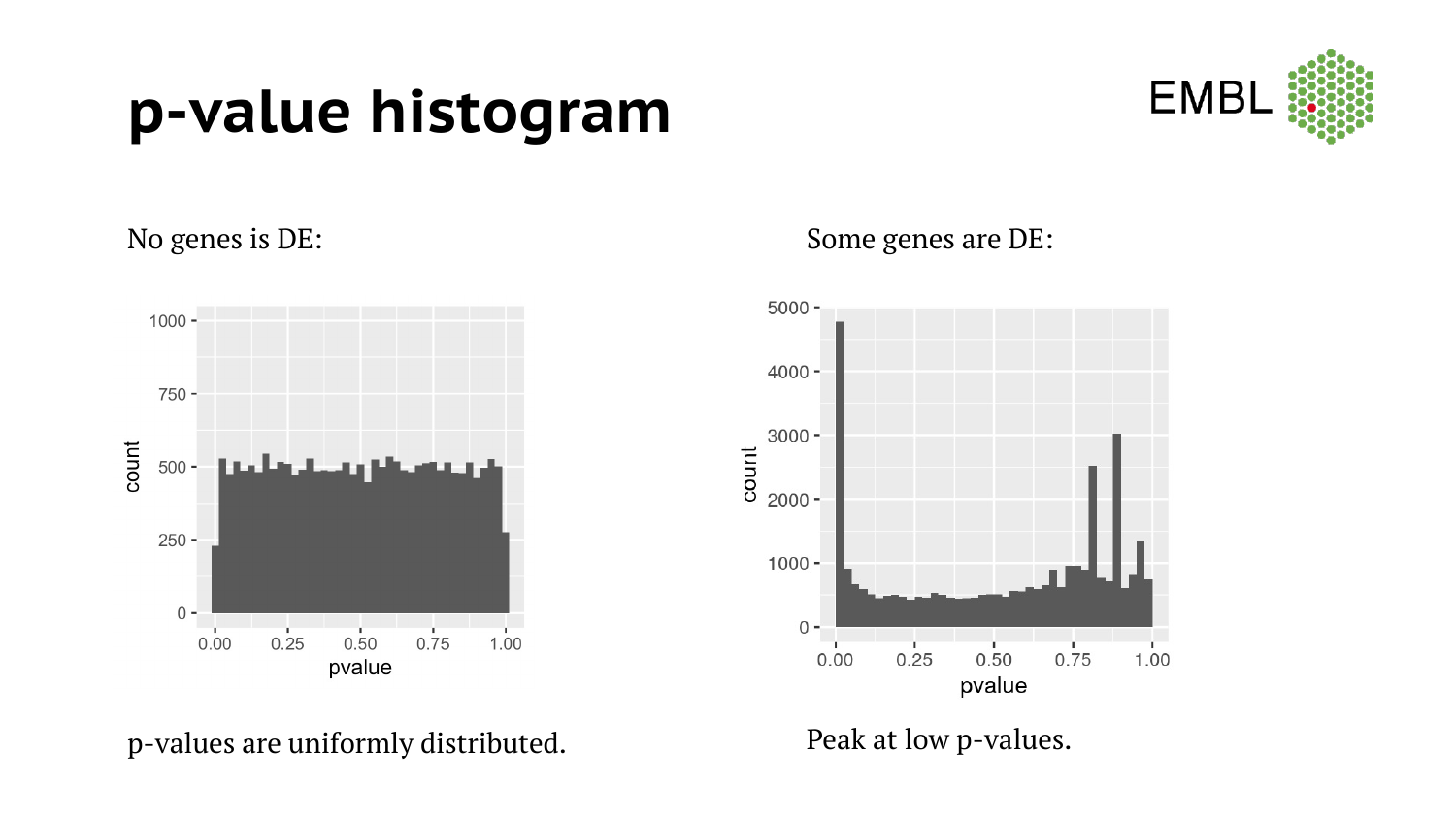### **p-value histogram**





p-values are uniformly distributed. Peak at low p-values.

No genes is DE: Some genes are DE:

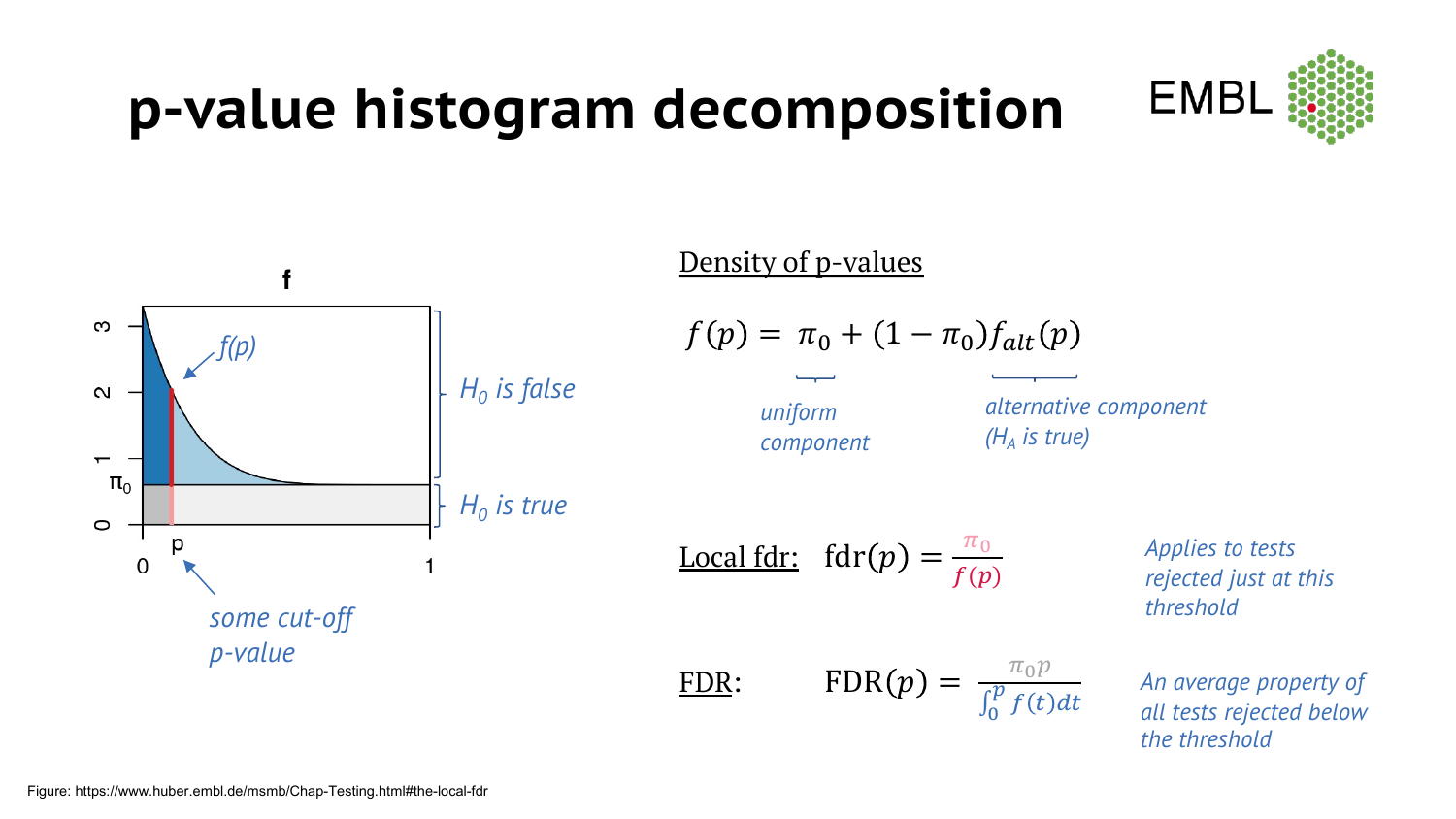### **p-value histogram decomposition**





#### Density of p-values

$$
f(p) = \pi_0 + (1 - \pi_0) f_{alt}(p)
$$

*component*

*alternative component (HA is true)*

 $\int_0^p f(t) dt$ 

**Local fdr:**  $fdr(p) = \frac{\pi_0}{f(p)}$ 

FDR: FDR $(p) = \frac{\pi_0 p}{\sqrt{p} \sin \theta}$ 

*Applies to tests rejected just at this threshold*

*An average property of all tests rejected below the threshold*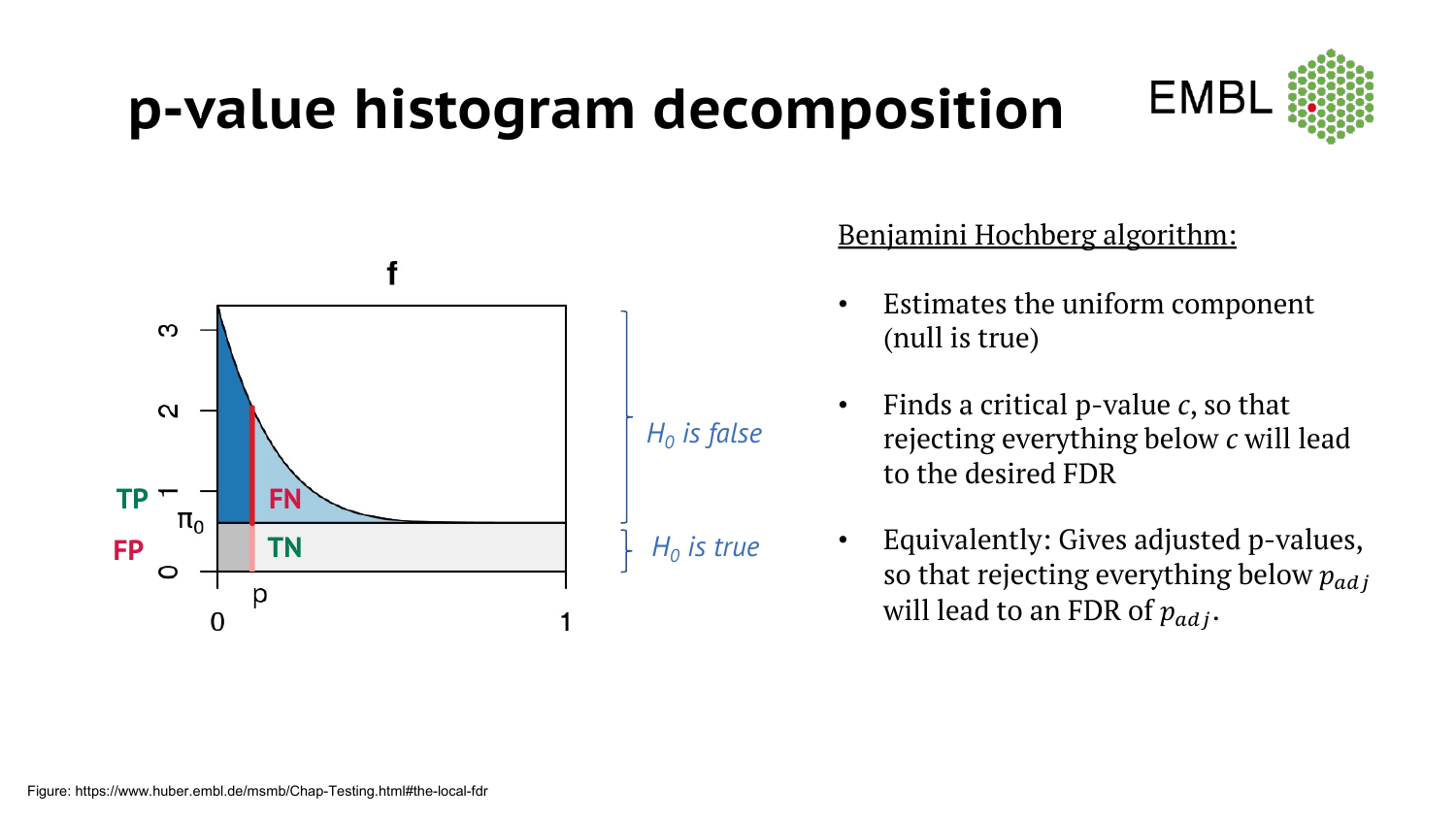### **p-value histogram decomposition**





#### Benjamini Hochberg algorithm:

- Estimates the uniform component (null is true)
- Finds a critical p-value *c*, so that rejecting everything below *c* will lead to the desired FDR
- Equivalently: Gives adjusted p-values, so that rejecting everything below  $p_{adi}$ will lead to an FDR of  $p_{adi}$ .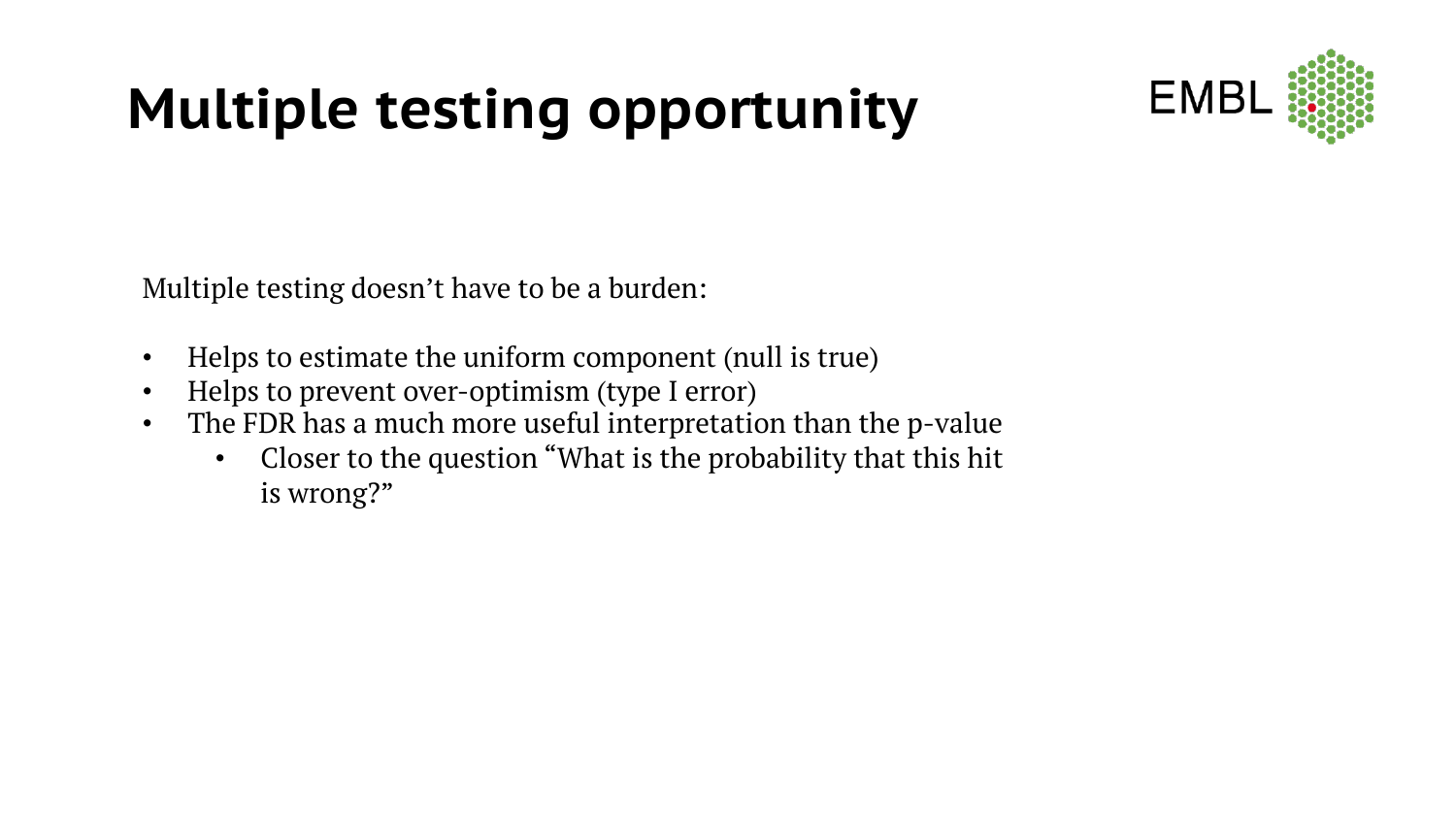### **Multiple testing opportunity**



Multiple testing doesn't have to be a burden:

- Helps to estimate the uniform component (null is true)
- Helps to prevent over-optimism (type I error)
- The FDR has a much more useful interpretation than the p-value
	- Closer to the question "What is the probability that this hit is wrong?"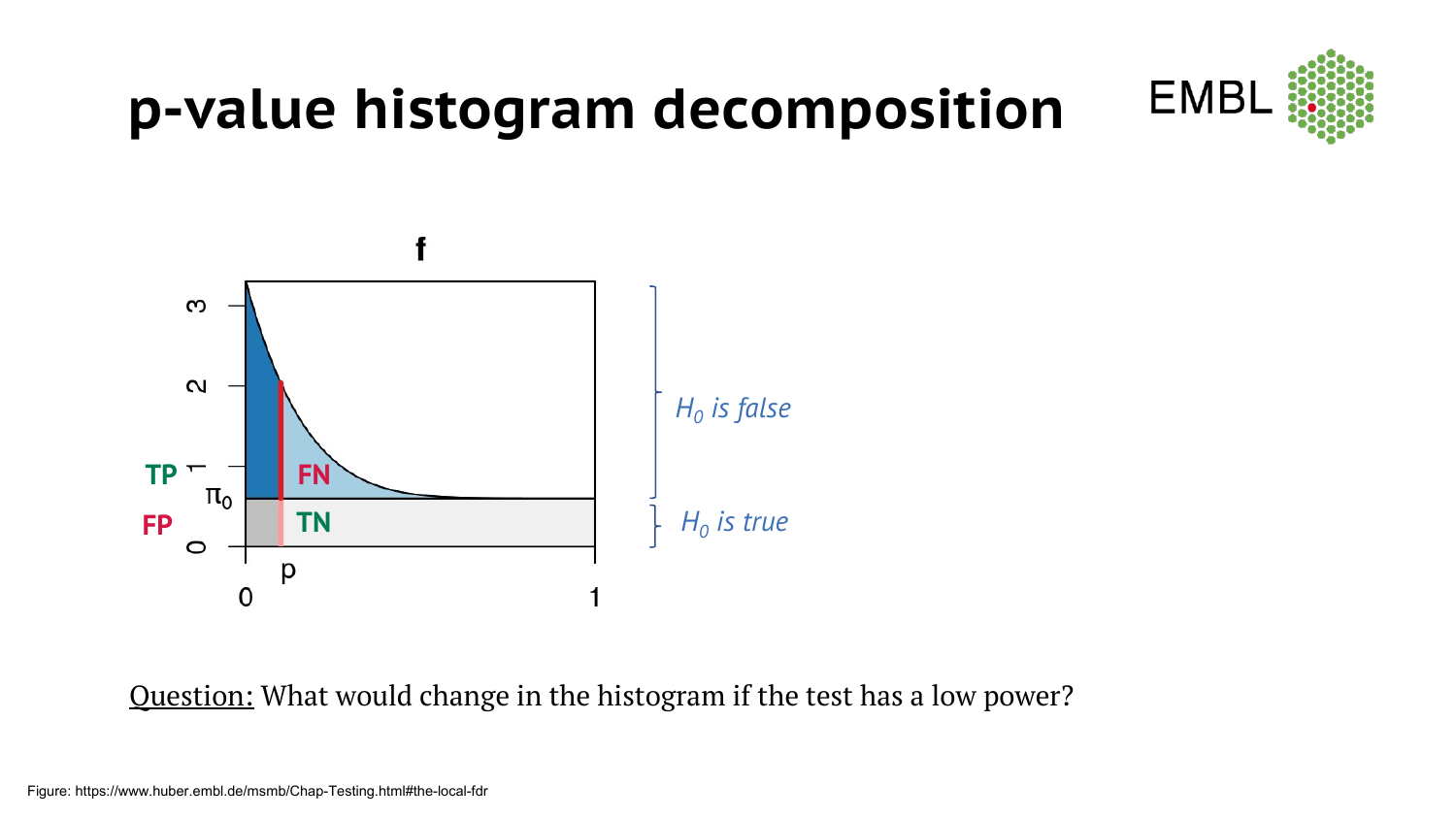

#### **p-value histogram decomposition**



Question: What would change in the histogram if the test has a low power?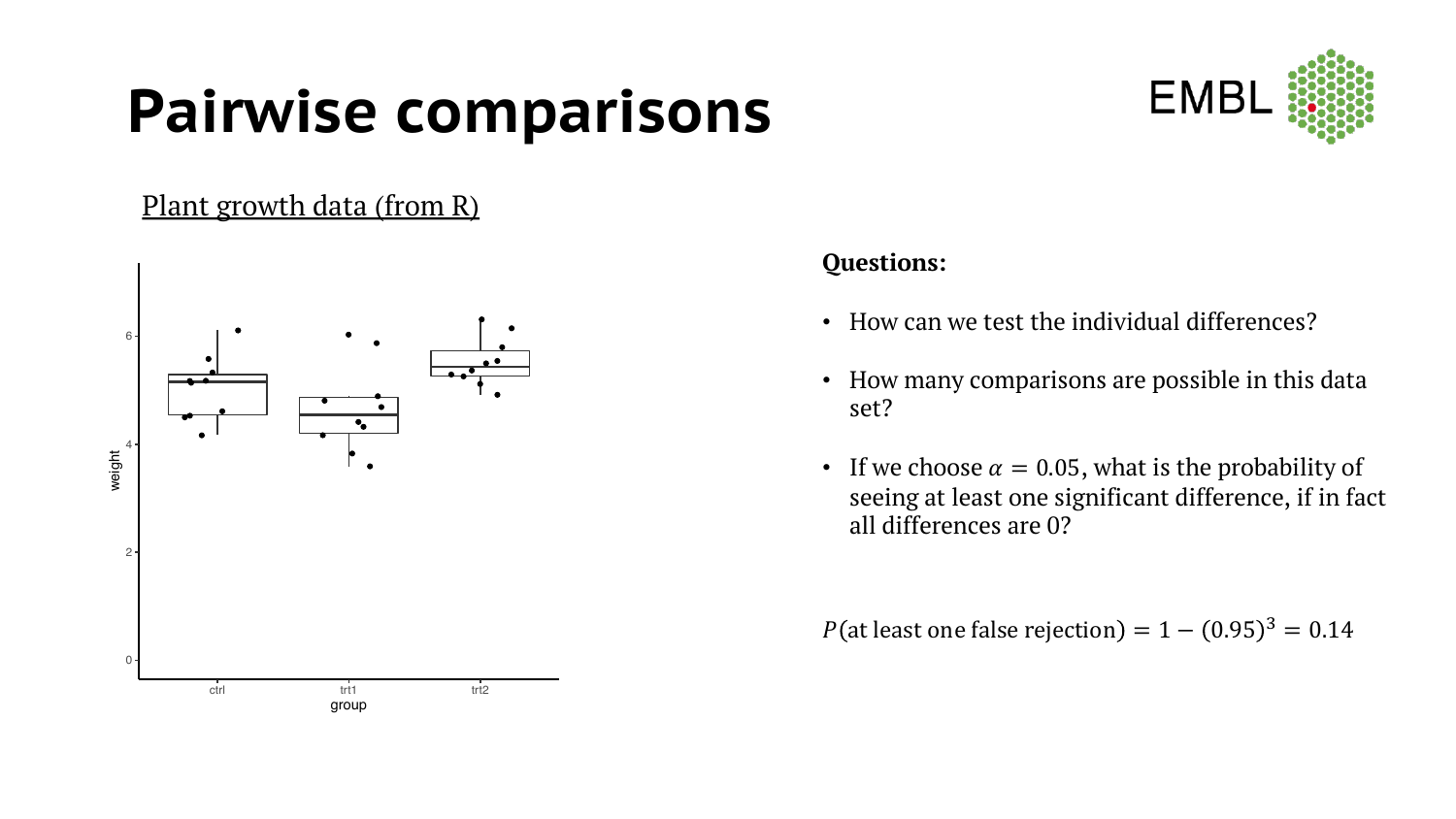### **Pairwise comparisons**



#### Plant growth data (from R)



#### **Questions:**

- How can we test the individual differences?
- How many comparisons are possible in this data set?
- If we choose  $\alpha = 0.05$ , what is the probability of seeing at least one significant difference, if in fact all differences are 0?

*P*(at least one false rejection) =  $1 - (0.95)^3 = 0.14$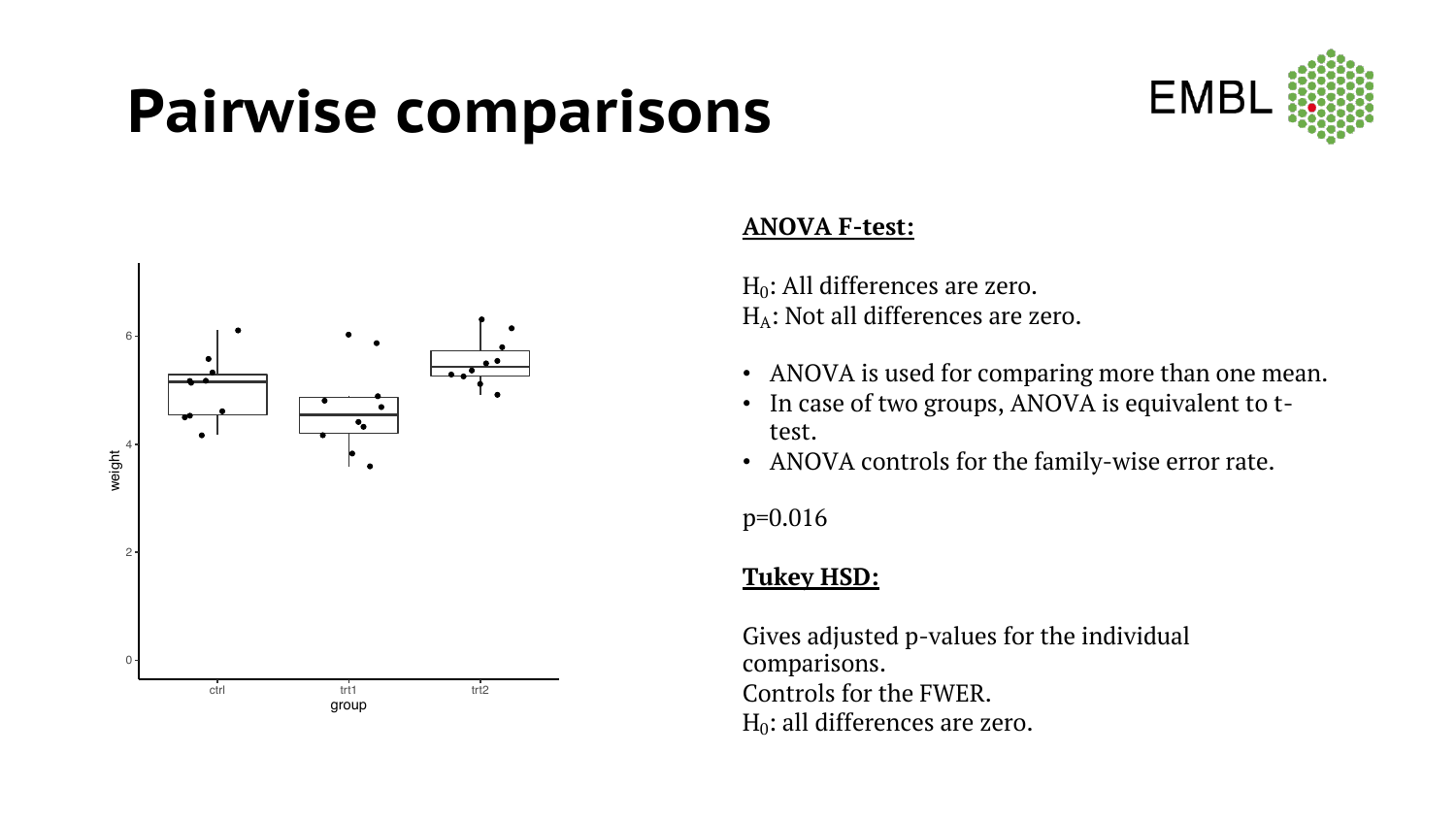### **Pairwise comparisons**





#### **ANOVA F-test:**

 $H_0$ : All differences are zero.  $H_A$ : Not all differences are zero.

- ANOVA is used for comparing more than one mean.
- In case of two groups, ANOVA is equivalent to ttest.
- ANOVA controls for the family-wise error rate.

p=0.016

#### **Tukey HSD:**

Gives adjusted p-values for the individual comparisons. Controls for the FWER.  $H_0$ : all differences are zero.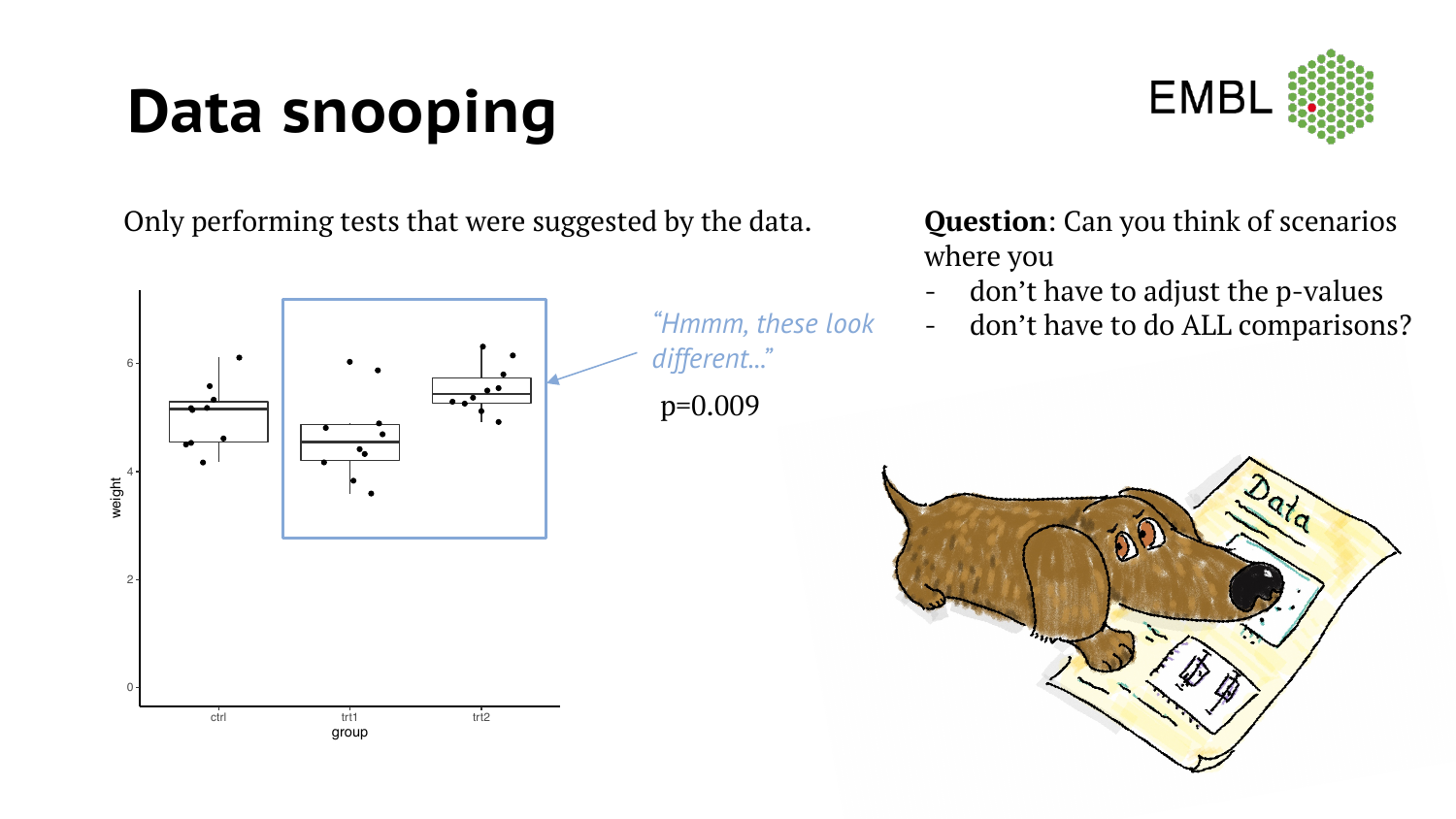# **Data snooping**



Only performing tests that were suggested by the data.



*"Hmmm, these look different..."* p=0.009

**Question**: Can you think of scenarios where you

- don't have to adjust the p-values
- don't have to do ALL comparisons?

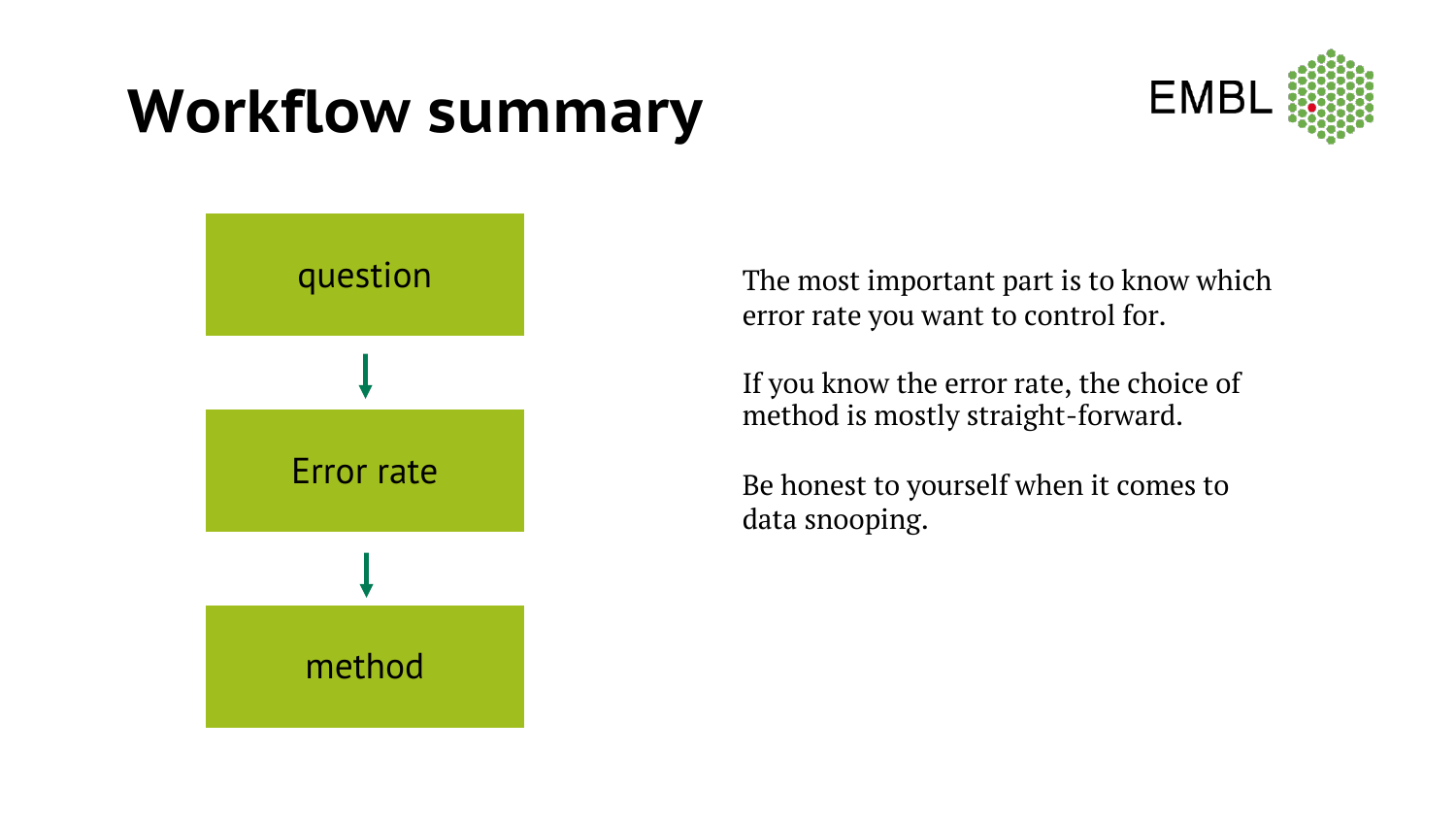### **Workflow summary**





The most important part is to know which error rate you want to control for.

If you know the error rate, the choice of method is mostly straight-forward.

Be honest to yourself when it comes to data snooping.